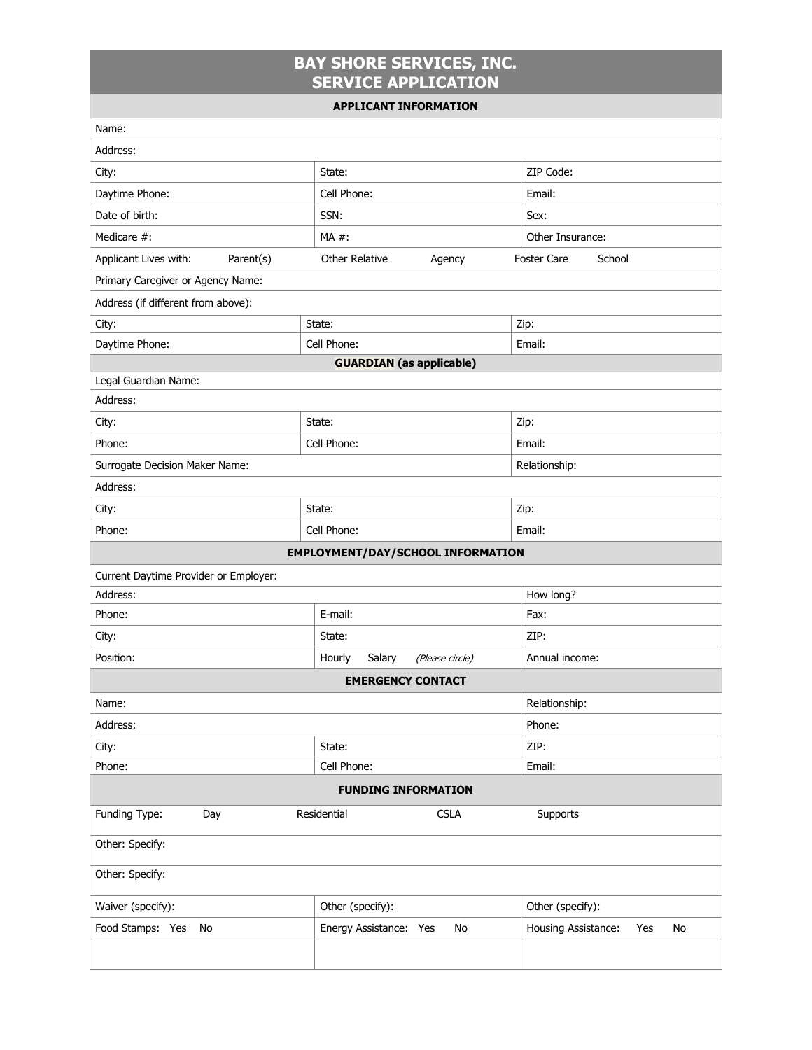## **BAY SHORE SERVICES, INC. SERVICE APPLICATION**

| <b>APPLICANT INFORMATION</b>          |                                          |                                  |  |  |  |
|---------------------------------------|------------------------------------------|----------------------------------|--|--|--|
| Name:                                 |                                          |                                  |  |  |  |
| Address:                              |                                          |                                  |  |  |  |
| City:                                 | State:                                   | ZIP Code:                        |  |  |  |
| Daytime Phone:                        | Cell Phone:                              | Email:                           |  |  |  |
| Date of birth:                        | SSN:                                     | Sex:                             |  |  |  |
| Medicare #:                           | MA #:                                    | Other Insurance:                 |  |  |  |
| Applicant Lives with:<br>Parent(s)    | Other Relative<br>Agency                 | <b>Foster Care</b><br>School     |  |  |  |
| Primary Caregiver or Agency Name:     |                                          |                                  |  |  |  |
| Address (if different from above):    |                                          |                                  |  |  |  |
| City:                                 | State:                                   | Zip:                             |  |  |  |
| Daytime Phone:                        | Cell Phone:                              | Email:                           |  |  |  |
|                                       | <b>GUARDIAN</b> (as applicable)          |                                  |  |  |  |
| Legal Guardian Name:                  |                                          |                                  |  |  |  |
| Address:                              |                                          |                                  |  |  |  |
| City:                                 | State:                                   | Zip:                             |  |  |  |
| Phone:                                | Cell Phone:                              | Email:                           |  |  |  |
| Surrogate Decision Maker Name:        |                                          | Relationship:                    |  |  |  |
| Address:                              |                                          |                                  |  |  |  |
| City:                                 | State:                                   | Zip:                             |  |  |  |
| Phone:                                | Cell Phone:                              | Email:                           |  |  |  |
|                                       | <b>EMPLOYMENT/DAY/SCHOOL INFORMATION</b> |                                  |  |  |  |
| Current Daytime Provider or Employer: |                                          |                                  |  |  |  |
| Address:                              |                                          | How long?                        |  |  |  |
| Phone:                                | E-mail:                                  | Fax:                             |  |  |  |
| City:                                 | State:                                   | ZIP:                             |  |  |  |
| Position:                             | Hourly<br>Salary<br>(Please circle)      | Annual income:                   |  |  |  |
|                                       | <b>EMERGENCY CONTACT</b>                 |                                  |  |  |  |
| Name:                                 |                                          | Relationship:                    |  |  |  |
| Address:                              |                                          | Phone:                           |  |  |  |
| City:                                 | State:                                   | ZIP:                             |  |  |  |
| Phone:                                | Cell Phone:                              | Email:                           |  |  |  |
| <b>FUNDING INFORMATION</b>            |                                          |                                  |  |  |  |
| Funding Type:<br>Day                  | Residential<br><b>CSLA</b>               | Supports                         |  |  |  |
| Other: Specify:                       |                                          |                                  |  |  |  |
| Other: Specify:                       |                                          |                                  |  |  |  |
| Waiver (specify):                     | Other (specify):                         | Other (specify):                 |  |  |  |
| Food Stamps: Yes No                   | Energy Assistance: Yes<br>No             | Housing Assistance:<br>No<br>Yes |  |  |  |
|                                       |                                          |                                  |  |  |  |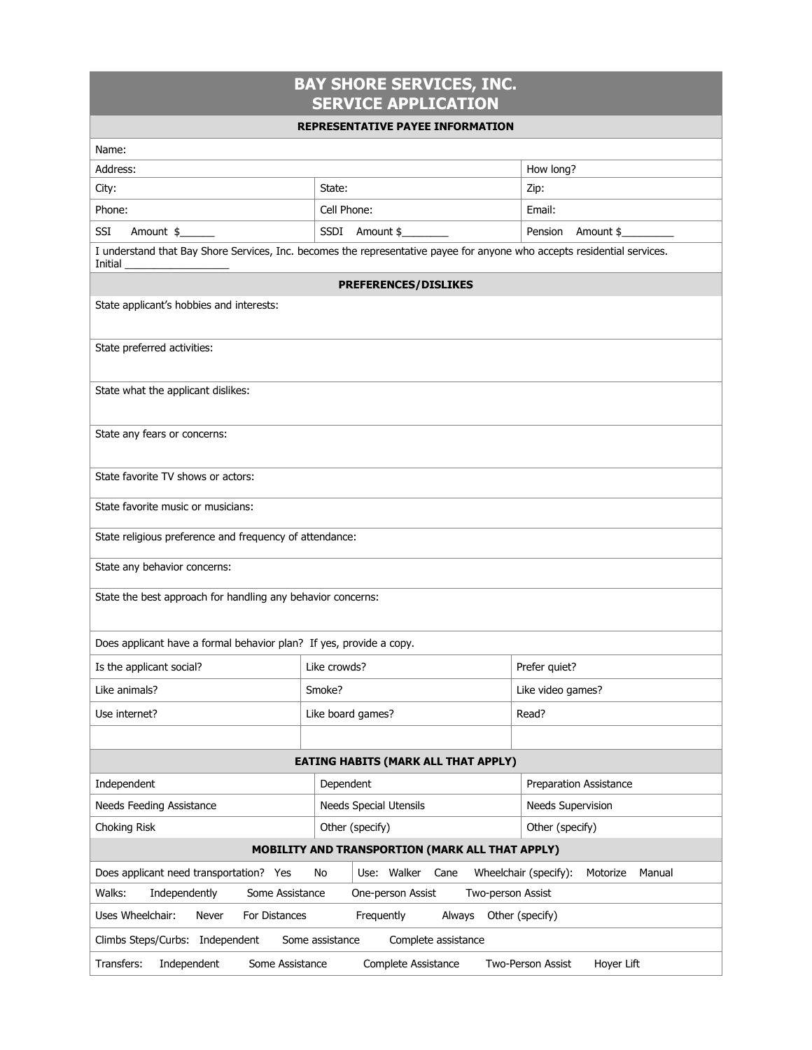## **BAY SHORE SERVICES, INC. SERVICE APPLICATION**

## **REPRESENTATIVE PAYEE INFORMATION**

|                                                                                                        | REPRESENTATIVE PATEE INFORMATION                                                                                         |                                             |  |  |
|--------------------------------------------------------------------------------------------------------|--------------------------------------------------------------------------------------------------------------------------|---------------------------------------------|--|--|
| Name:                                                                                                  |                                                                                                                          |                                             |  |  |
| Address:                                                                                               |                                                                                                                          | How long?                                   |  |  |
| City:                                                                                                  | State:                                                                                                                   | Zip:                                        |  |  |
| Phone:                                                                                                 | Cell Phone:                                                                                                              | Email:                                      |  |  |
| SSI<br>Amount \$                                                                                       | SSDI Amount \$                                                                                                           | Pension Amount \$                           |  |  |
| Initial                                                                                                | I understand that Bay Shore Services, Inc. becomes the representative payee for anyone who accepts residential services. |                                             |  |  |
|                                                                                                        | <b>PREFERENCES/DISLIKES</b>                                                                                              |                                             |  |  |
| State applicant's hobbies and interests:                                                               |                                                                                                                          |                                             |  |  |
| State preferred activities:                                                                            |                                                                                                                          |                                             |  |  |
| State what the applicant dislikes:                                                                     |                                                                                                                          |                                             |  |  |
| State any fears or concerns:                                                                           |                                                                                                                          |                                             |  |  |
| State favorite TV shows or actors:                                                                     |                                                                                                                          |                                             |  |  |
| State favorite music or musicians:                                                                     |                                                                                                                          |                                             |  |  |
| State religious preference and frequency of attendance:                                                |                                                                                                                          |                                             |  |  |
| State any behavior concerns:                                                                           |                                                                                                                          |                                             |  |  |
| State the best approach for handling any behavior concerns:                                            |                                                                                                                          |                                             |  |  |
| Does applicant have a formal behavior plan? If yes, provide a copy.                                    |                                                                                                                          |                                             |  |  |
| Is the applicant social?                                                                               | Like crowds?                                                                                                             | Prefer quiet?                               |  |  |
| Like animals?                                                                                          | Smoke?                                                                                                                   | Like video games?                           |  |  |
| Use internet?                                                                                          | Like board games?                                                                                                        | Read?                                       |  |  |
|                                                                                                        |                                                                                                                          |                                             |  |  |
| EATING HABITS (MARK ALL THAT APPLY)                                                                    |                                                                                                                          |                                             |  |  |
| Independent                                                                                            | Dependent                                                                                                                | Preparation Assistance                      |  |  |
| Needs Feeding Assistance                                                                               | <b>Needs Special Utensils</b>                                                                                            | <b>Needs Supervision</b>                    |  |  |
| Choking Risk<br>Other (specify)                                                                        |                                                                                                                          | Other (specify)                             |  |  |
| MOBILITY AND TRANSPORTION (MARK ALL THAT APPLY)                                                        |                                                                                                                          |                                             |  |  |
| Does applicant need transportation? Yes                                                                | Use: Walker<br>No<br>Cane                                                                                                | Wheelchair (specify):<br>Manual<br>Motorize |  |  |
| Walks:<br>Independently<br>Some Assistance<br>One-person Assist<br>Two-person Assist                   |                                                                                                                          |                                             |  |  |
| Uses Wheelchair:<br>Never<br>For Distances<br>Frequently<br>Other (specify)<br>Always                  |                                                                                                                          |                                             |  |  |
| Climbs Steps/Curbs: Independent<br>Some assistance<br>Complete assistance                              |                                                                                                                          |                                             |  |  |
| Transfers:<br>Independent<br>Some Assistance<br>Two-Person Assist<br>Hoyer Lift<br>Complete Assistance |                                                                                                                          |                                             |  |  |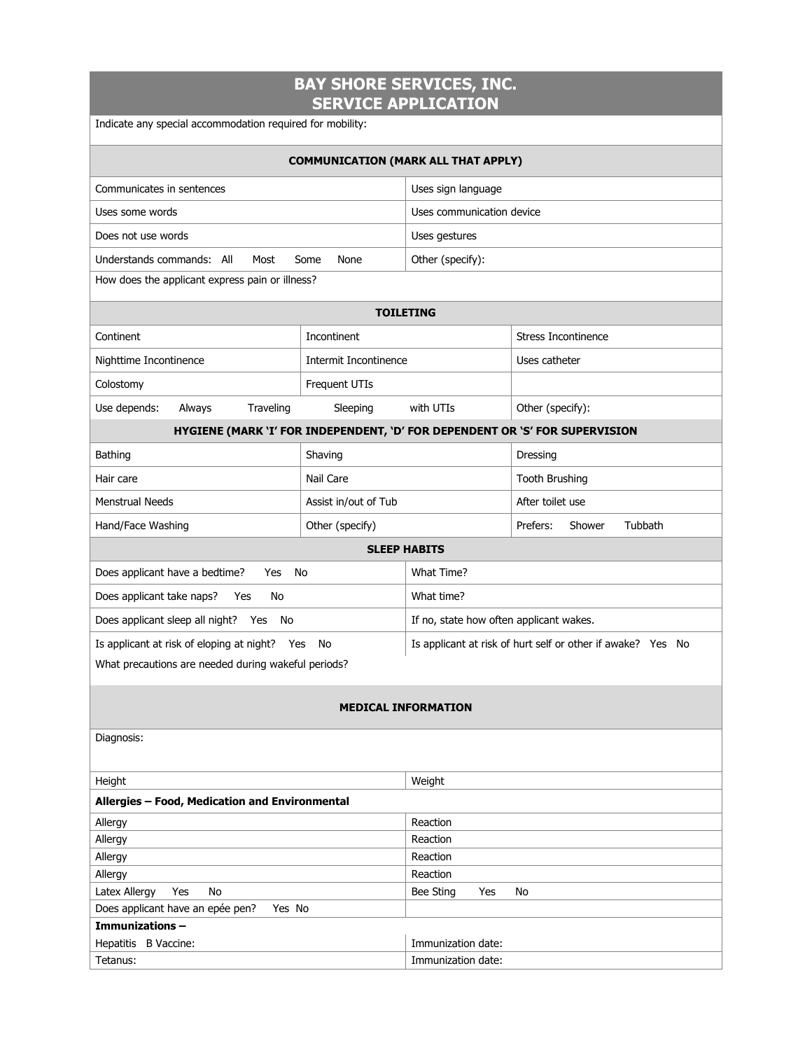| <b>BAY SHORE SERVICES, INC.</b><br><b>SERVICE APPLICATION</b> |                       |                                                             |                                                                             |  |  |
|---------------------------------------------------------------|-----------------------|-------------------------------------------------------------|-----------------------------------------------------------------------------|--|--|
| Indicate any special accommodation required for mobility:     |                       |                                                             |                                                                             |  |  |
|                                                               |                       | <b>COMMUNICATION (MARK ALL THAT APPLY)</b>                  |                                                                             |  |  |
| Communicates in sentences                                     |                       | Uses sign language                                          |                                                                             |  |  |
| Uses some words                                               |                       | Uses communication device                                   |                                                                             |  |  |
| Does not use words                                            |                       | Uses gestures                                               |                                                                             |  |  |
| Understands commands: All<br>Most                             | Some<br>None          | Other (specify):                                            |                                                                             |  |  |
| How does the applicant express pain or illness?               |                       |                                                             |                                                                             |  |  |
|                                                               |                       | <b>TOILETING</b>                                            |                                                                             |  |  |
|                                                               |                       |                                                             |                                                                             |  |  |
| Continent                                                     | Incontinent           |                                                             | <b>Stress Incontinence</b>                                                  |  |  |
| Nighttime Incontinence                                        | Intermit Incontinence |                                                             | Uses catheter                                                               |  |  |
| Colostomy                                                     | Frequent UTIs         |                                                             |                                                                             |  |  |
| Use depends:<br>Always<br>Traveling                           | Sleeping              | with UTIs                                                   | Other (specify):                                                            |  |  |
|                                                               |                       |                                                             | HYGIENE (MARK 'I' FOR INDEPENDENT, 'D' FOR DEPENDENT OR 'S' FOR SUPERVISION |  |  |
| Bathing                                                       | Shaving               |                                                             | Dressing                                                                    |  |  |
| Hair care                                                     | Nail Care             |                                                             | <b>Tooth Brushing</b>                                                       |  |  |
| <b>Menstrual Needs</b>                                        | Assist in/out of Tub  |                                                             | After toilet use                                                            |  |  |
| Hand/Face Washing                                             | Other (specify)       |                                                             | Prefers:<br>Shower<br>Tubbath                                               |  |  |
|                                                               |                       | <b>SLEEP HABITS</b>                                         |                                                                             |  |  |
| Does applicant have a bedtime?<br>Yes                         | No                    | What Time?                                                  |                                                                             |  |  |
| Does applicant take naps?<br>No<br>Yes                        |                       | What time?                                                  |                                                                             |  |  |
| Does applicant sleep all night? Yes<br>No                     |                       | If no, state how often applicant wakes.                     |                                                                             |  |  |
| Is applicant at risk of eloping at night? Yes<br>No           |                       | Is applicant at risk of hurt self or other if awake? Yes No |                                                                             |  |  |
| What precautions are needed during wakeful periods?           |                       |                                                             |                                                                             |  |  |
|                                                               |                       |                                                             |                                                                             |  |  |
| <b>MEDICAL INFORMATION</b>                                    |                       |                                                             |                                                                             |  |  |
| Diagnosis:                                                    |                       |                                                             |                                                                             |  |  |
| Height<br>Weight                                              |                       |                                                             |                                                                             |  |  |
| Allergies - Food, Medication and Environmental                |                       |                                                             |                                                                             |  |  |
| Allergy<br>Reaction                                           |                       |                                                             |                                                                             |  |  |
| Allergy                                                       |                       | Reaction                                                    |                                                                             |  |  |
| Allergy                                                       |                       | Reaction                                                    |                                                                             |  |  |
| Allergy<br>Latex Allergy<br>Yes<br>No                         |                       | Reaction<br>Bee Sting<br>Yes<br>No                          |                                                                             |  |  |
| Does applicant have an epée pen?<br>Yes No                    |                       |                                                             |                                                                             |  |  |
| Immunizations-                                                |                       |                                                             |                                                                             |  |  |
| Hepatitis B Vaccine:<br>Immunization date:                    |                       |                                                             |                                                                             |  |  |
| Tetanus:                                                      |                       | Immunization date:                                          |                                                                             |  |  |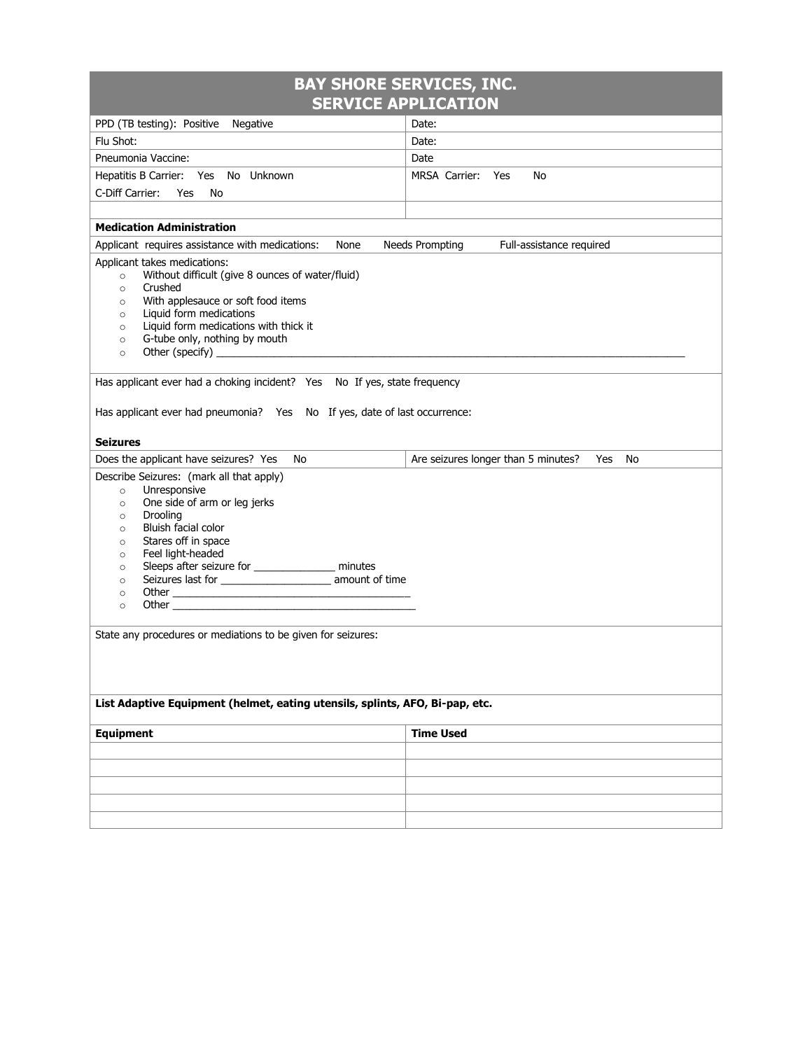| <b>BAY SHORE SERVICES, INC.</b>                                                                                                                                                                                                                                                                                                                                                                                                                                                                                                   |                                                  |  |  |  |
|-----------------------------------------------------------------------------------------------------------------------------------------------------------------------------------------------------------------------------------------------------------------------------------------------------------------------------------------------------------------------------------------------------------------------------------------------------------------------------------------------------------------------------------|--------------------------------------------------|--|--|--|
|                                                                                                                                                                                                                                                                                                                                                                                                                                                                                                                                   | <b>SERVICE APPLICATION</b>                       |  |  |  |
| PPD (TB testing): Positive Negative                                                                                                                                                                                                                                                                                                                                                                                                                                                                                               | Date:                                            |  |  |  |
| Flu Shot:                                                                                                                                                                                                                                                                                                                                                                                                                                                                                                                         | Date:                                            |  |  |  |
| Pneumonia Vaccine:                                                                                                                                                                                                                                                                                                                                                                                                                                                                                                                | Date                                             |  |  |  |
| Hepatitis B Carrier: Yes No Unknown                                                                                                                                                                                                                                                                                                                                                                                                                                                                                               | MRSA Carrier:<br>Yes<br>No                       |  |  |  |
| C-Diff Carrier:<br>Yes<br>No                                                                                                                                                                                                                                                                                                                                                                                                                                                                                                      |                                                  |  |  |  |
|                                                                                                                                                                                                                                                                                                                                                                                                                                                                                                                                   |                                                  |  |  |  |
| <b>Medication Administration</b>                                                                                                                                                                                                                                                                                                                                                                                                                                                                                                  |                                                  |  |  |  |
| Applicant requires assistance with medications:<br>None                                                                                                                                                                                                                                                                                                                                                                                                                                                                           | Needs Prompting<br>Full-assistance required      |  |  |  |
| Applicant takes medications:<br>Without difficult (give 8 ounces of water/fluid)<br>$\circ$<br>Crushed<br>$\circ$<br>With applesauce or soft food items<br>$\circ$<br>Liquid form medications<br>$\circ$<br>Liquid form medications with thick it<br>$\circ$<br>G-tube only, nothing by mouth<br>$\circ$<br>$\circ$                                                                                                                                                                                                               |                                                  |  |  |  |
| Has applicant ever had a choking incident? Yes No If yes, state frequency                                                                                                                                                                                                                                                                                                                                                                                                                                                         |                                                  |  |  |  |
| Has applicant ever had pneumonia? Yes No If yes, date of last occurrence:                                                                                                                                                                                                                                                                                                                                                                                                                                                         |                                                  |  |  |  |
| <b>Seizures</b>                                                                                                                                                                                                                                                                                                                                                                                                                                                                                                                   |                                                  |  |  |  |
| Does the applicant have seizures? Yes<br>No                                                                                                                                                                                                                                                                                                                                                                                                                                                                                       | Are seizures longer than 5 minutes?<br>Yes<br>No |  |  |  |
| Describe Seizures: (mark all that apply)<br>Unresponsive<br>$\circ$<br>One side of arm or leg jerks<br>$\circ$<br>Drooling<br>$\circ$<br>Bluish facial color<br>$\circ$<br>Stares off in space<br>$\circ$<br>Feel light-headed<br>$\circ$<br>Sleeps after seizure for ________________ minutes<br>$\circ$<br>Seizures last for ________________________________ amount of time<br>$\circ$<br>Other than the contract of the contract of the contract of the contract of the contract of the contract of the<br>$\circ$<br>$\circ$ |                                                  |  |  |  |
| State any procedures or mediations to be given for seizures:                                                                                                                                                                                                                                                                                                                                                                                                                                                                      |                                                  |  |  |  |
| List Adaptive Equipment (helmet, eating utensils, splints, AFO, Bi-pap, etc.                                                                                                                                                                                                                                                                                                                                                                                                                                                      |                                                  |  |  |  |
| <b>Equipment</b>                                                                                                                                                                                                                                                                                                                                                                                                                                                                                                                  | <b>Time Used</b>                                 |  |  |  |
|                                                                                                                                                                                                                                                                                                                                                                                                                                                                                                                                   |                                                  |  |  |  |
|                                                                                                                                                                                                                                                                                                                                                                                                                                                                                                                                   |                                                  |  |  |  |
|                                                                                                                                                                                                                                                                                                                                                                                                                                                                                                                                   |                                                  |  |  |  |
|                                                                                                                                                                                                                                                                                                                                                                                                                                                                                                                                   |                                                  |  |  |  |
|                                                                                                                                                                                                                                                                                                                                                                                                                                                                                                                                   |                                                  |  |  |  |